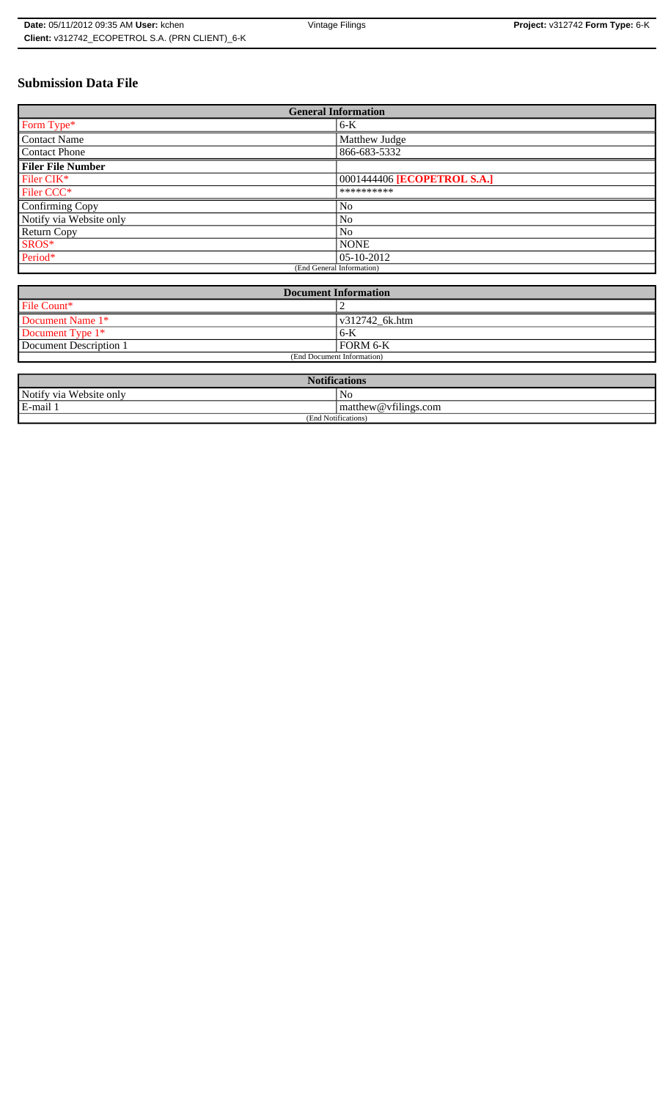## **Submission Data File**

| <b>General Information</b> |                             |
|----------------------------|-----------------------------|
| Form Type*                 | $6-K$                       |
| <b>Contact Name</b>        | Matthew Judge               |
| <b>Contact Phone</b>       | 866-683-5332                |
| <b>Filer File Number</b>   |                             |
| Filer CIK*                 | 0001444406 [ECOPETROL S.A.] |
| Filer CCC*                 | **********                  |
| Confirming Copy            | N <sub>0</sub>              |
| Notify via Website only    | No                          |
| <b>Return Copy</b>         | N <sub>o</sub>              |
| SROS*                      | <b>NONE</b>                 |
| Period*                    | $ 05 - 10 - 2012 $          |
| (End General Information)  |                             |

| <b>Document Information</b> |                        |
|-----------------------------|------------------------|
| File Count*                 |                        |
| Document Name 1*            | $\sqrt{312742}$ 6k.htm |
| Document Type 1*            | $6 - K$                |
| Document Description 1      | FORM 6-K               |
| (End Document Information)  |                        |

| <b>Notifications</b>         |                                |
|------------------------------|--------------------------------|
| Notify via<br>u Website only | No                             |
| E-mail 1                     | $\vert$ matthew @ vfilings.com |
| (End Notifications)          |                                |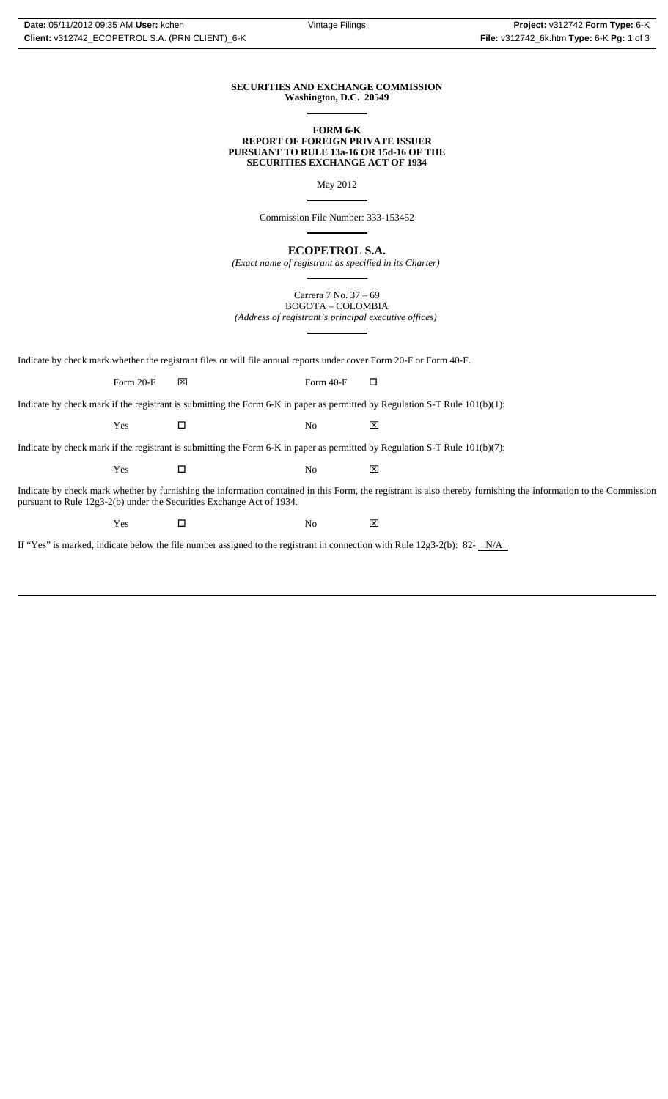### **SECURITIES AND EXCHANGE COMMISSION Washington, D.C. 20549**

 $\overline{a}$ 

 $\overline{a}$ 

 $\overline{a}$ 

 $\overline{a}$ 

#### **FORM 6-K REPORT OF FOREIGN PRIVATE ISSUER PURSUANT TO RULE 13a-16 OR 15d-16 OF THE SECURITIES EXCHANGE ACT OF 1934**

May 2012

Commission File Number: 333-153452

**ECOPETROL S.A.**

*(Exact name of registrant as specified in its Charter)*  $\overline{a}$ 

Carrera 7 No. 37 – 69 BOGOTA – COLOMBIA *(Address of registrant's principal executive offices)*

Indicate by check mark whether the registrant files or will file annual reports under cover Form 20-F or Form 40-F.

Form 20-F  $\boxtimes$  Form 40-F  $\Box$ 

Indicate by check mark if the registrant is submitting the Form 6-K in paper as permitted by Regulation S-T Rule 101(b)(1):

Yes □ No ⊠

Indicate by check mark if the registrant is submitting the Form 6-K in paper as permitted by Regulation S-T Rule 101(b)(7):

Yes □ No ⊠

Indicate by check mark whether by furnishing the information contained in this Form, the registrant is also thereby furnishing the information to the Commission pursuant to Rule 12g3-2(b) under the Securities Exchange Act of 1934.

Yes □ No ⊠

If "Yes" is marked, indicate below the file number assigned to the registrant in connection with Rule 12g3-2(b): 82- N/A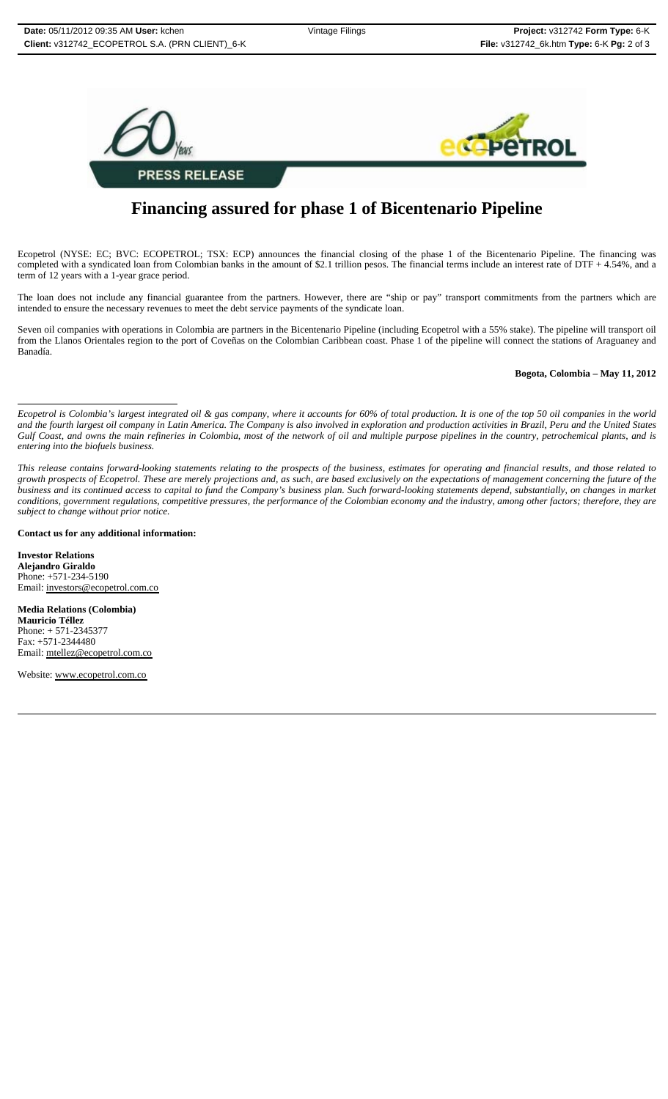

# **Financing assured for phase 1 of Bicentenario Pipeline**

Ecopetrol (NYSE: EC; BVC: ECOPETROL; TSX: ECP) announces the financial closing of the phase 1 of the Bicentenario Pipeline. The financing was completed with a syndicated loan from Colombian banks in the amount of \$2.1 trillion pesos. The financial terms include an interest rate of DTF + 4.54%, and a term of 12 years with a 1-year grace period.

The loan does not include any financial guarantee from the partners. However, there are "ship or pay" transport commitments from the partners which are intended to ensure the necessary revenues to meet the debt service payments of the syndicate loan.

Seven oil companies with operations in Colombia are partners in the Bicentenario Pipeline (including Ecopetrol with a 55% stake). The pipeline will transport oil from the Llanos Orientales region to the port of Coveñas on the Colombian Caribbean coast. Phase 1 of the pipeline will connect the stations of Araguaney and Banadía.

### **Bogota, Colombia – May 11, 2012**

*Ecopetrol is Colombia's largest integrated oil & gas company, where it accounts for 60% of total production. It is one of the top 50 oil companies in the world and the fourth largest oil company in Latin America. The Company is also involved in exploration and production activities in Brazil, Peru and the United States Gulf Coast, and owns the main refineries in Colombia, most of the network of oil and multiple purpose pipelines in the country, petrochemical plants, and is entering into the biofuels business.*

*This release contains forward-looking statements relating to the prospects of the business, estimates for operating and financial results, and those related to growth prospects of Ecopetrol. These are merely projections and, as such, are based exclusively on the expectations of management concerning the future of the business and its continued access to capital to fund the Company's business plan. Such forward-looking statements depend, substantially, on changes in market conditions, government regulations, competitive pressures, the performance of the Colombian economy and the industry, among other factors; therefore, they are subject to change without prior notice.*

**Contact us for any additional information:**

**Investor Relations Alejandro Giraldo** Phone: +571-234-5190 Email: investors@ecopetrol.com.co

**Media Relations (Colombia) Mauricio Téllez** Phone: + 571-2345377 Fax: +571-2344480 Email: mtellez@ecopetrol.com.co

Website: www.ecopetrol.com.co